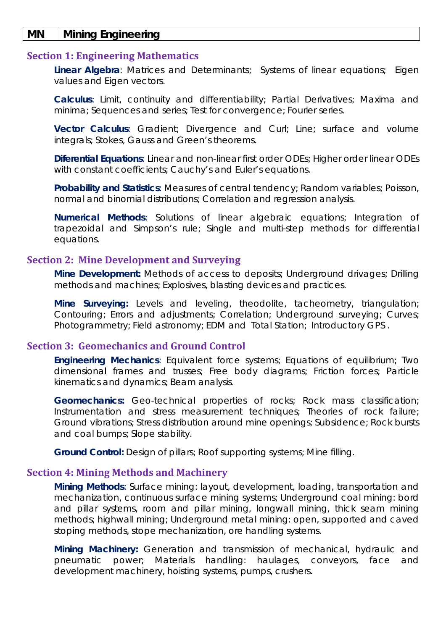### **MN Mining Engineering**

### **Section 1: Engineering Mathematics**

**Linear Algebra***:* Matrices and Determinants; Systems of linear equations; Eigen values and Eigen vectors.

**Calculus**: Limit, continuity and differentiability; Partial Derivatives; Maxima and minima; Sequences and series; Test for convergence; Fourier series.

**Vector Calculus**: Gradient; Divergence and Curl; Line; surface and volume integrals; Stokes, Gauss and Green's theorems.

**Diferential Equations**: Linear and non-linear first order ODEs; Higher order linear ODEs with constant coefficients; Cauchy's and Euler's equations.

**Probability and Statistics**: Measures of central tendency; Random variables; Poisson, normal and binomial distributions; Correlation and regression analysis.

**Numerical Methods**: Solutions of linear algebraic equations; Integration of trapezoidal and Simpson's rule; Single and multi-step methods for differential equations.

### **Section 2: Mine Development and Surveying**

**Mine Development:** Methods of access to deposits; Underground drivages; Drilling methods and machines; Explosives, blasting devices and practices.

**Mine Surveying:** Levels and leveling, theodolite, tacheometry, triangulation; Contouring; Errors and adjustments; Correlation; Underground surveying; Curves; Photogrammetry; Field astronomy; EDM and Total Station; Introductory GPS .

# **Section 3: Geomechanics and Ground Control**

**Engineering Mechanics**: Equivalent force systems; Equations of equilibrium; Two dimensional frames and trusses; Free body diagrams; Friction forces; Particle kinematics and dynamics; Beam analysis.

**Geomechanics:** Geo-technical properties of rocks; Rock mass classification; Instrumentation and stress measurement techniques; Theories of rock failure; Ground vibrations; Stress distribution around mine openings; Subsidence; Rock bursts and coal bumps; Slope stability.

**Ground Control:** Design of pillars; Roof supporting systems; Mine filling.

### **Section 4: Mining Methods and Machinery**

**Mining Methods**: Surface mining: layout, development, loading, transportation and mechanization, continuous surface mining systems; Underground coal mining: bord and pillar systems, room and pillar mining, longwall mining, thick seam mining methods; highwall mining; Underground metal mining: open, supported and caved stoping methods, stope mechanization, ore handling systems.

**Mining Machinery:** Generation and transmission of mechanical, hydraulic and pneumatic power; Materials handling: haulages, conveyors, face and development machinery, hoisting systems, pumps, crushers.